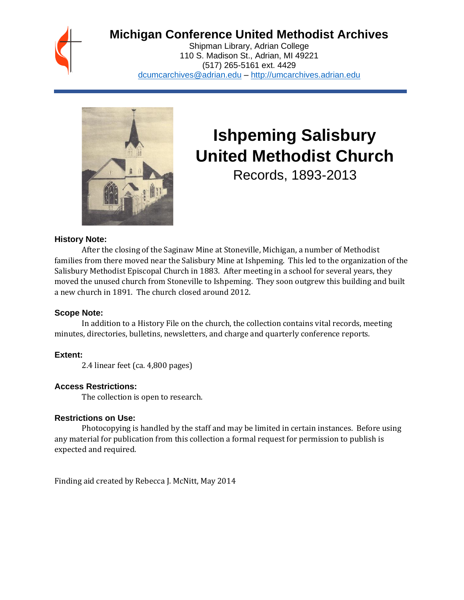

# **Michigan Conference United Methodist Archives**

Shipman Library, Adrian College 110 S. Madison St., Adrian, MI 49221 (517) 265-5161 ext. 4429 [dcumcarchives@adrian.edu](mailto:dcumcarchives@adrian.edu) – [http://umcarchives.adrian.edu](http://umcarchives.adrian.edu/)



# **Ishpeming Salisbury United Methodist Church**

Records, 1893-2013

#### **History Note:**

After the closing of the Saginaw Mine at Stoneville, Michigan, a number of Methodist families from there moved near the Salisbury Mine at Ishpeming. This led to the organization of the Salisbury Methodist Episcopal Church in 1883. After meeting in a school for several years, they moved the unused church from Stoneville to Ishpeming. They soon outgrew this building and built a new church in 1891. The church closed around 2012.

#### **Scope Note:**

In addition to a History File on the church, the collection contains vital records, meeting minutes, directories, bulletins, newsletters, and charge and quarterly conference reports.

### **Extent:**

2.4 linear feet (ca. 4,800 pages)

### **Access Restrictions:**

The collection is open to research.

#### **Restrictions on Use:**

Photocopying is handled by the staff and may be limited in certain instances. Before using any material for publication from this collection a formal request for permission to publish is expected and required.

Finding aid created by Rebecca J. McNitt, May 2014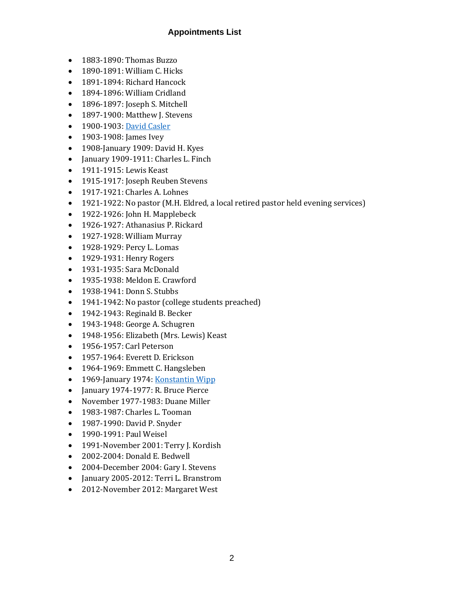### **Appointments List**

- 1883-1890: Thomas Buzzo
- 1890-1891: William C. Hicks
- 1891-1894: Richard Hancock
- 1894-1896: William Cridland
- 1896-1897: Joseph S. Mitchell
- 1897-1900: Matthew J. Stevens
- 1900-1903[: David Casler](http://umcarchives.adrian.edu/clergy/caslerd.php)
- 1903-1908: James Ivey
- 1908-January 1909: David H. Kyes
- January 1909-1911: Charles L. Finch
- 1911-1915: Lewis Keast
- 1915-1917: Joseph Reuben Stevens
- 1917-1921: Charles A. Lohnes
- 1921-1922: No pastor (M.H. Eldred, a local retired pastor held evening services)
- 1922-1926: John H. Mapplebeck
- 1926-1927: Athanasius P. Rickard
- 1927-1928: William Murray
- 1928-1929: Percy L. Lomas
- 1929-1931: Henry Rogers
- 1931-1935: Sara McDonald
- 1935-1938: Meldon E. Crawford
- 1938-1941: Donn S. Stubbs
- 1941-1942: No pastor (college students preached)
- 1942-1943: Reginald B. Becker
- 1943-1948: George A. Schugren
- 1948-1956: Elizabeth (Mrs. Lewis) Keast
- 1956-1957: Carl Peterson
- 1957-1964: Everett D. Erickson
- 1964-1969: Emmett C. Hangsleben
- 1969-January 1974[: Konstantin Wipp](http://umcarchives.adrian.edu/clergy/wippk.php)
- January 1974-1977: R. Bruce Pierce
- November 1977-1983: Duane Miller
- 1983-1987: Charles L. Tooman
- 1987-1990: David P. Snyder
- 1990-1991: Paul Weisel
- 1991-November 2001: Terry J. Kordish
- 2002-2004: Donald E. Bedwell
- 2004-December 2004: Gary I. Stevens
- January 2005-2012: Terri L. Branstrom
- 2012-November 2012: Margaret West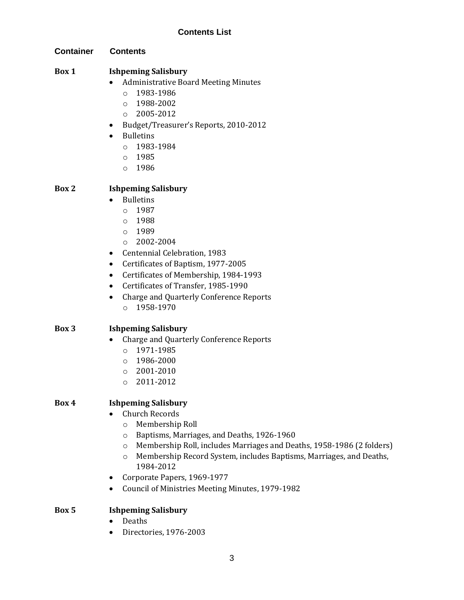**Container Contents**

## **Box 1 Ishpeming Salisbury**

- Administrative Board Meeting Minutes
	- o 1983-1986
	- o 1988-2002
	- $O$  2005-2012
- Budget/Treasurer's Reports, 2010-2012
- **Bulletins** 
	- o 1983-1984
	- o 1985
	- o 1986

# **Box 2 Ishpeming Salisbury**

- Bulletins
	- $0.1987$
	- o 1988
	- o 1989
	- o 2002-2004
- Centennial Celebration, 1983
- Certificates of Baptism, 1977-2005
- Certificates of Membership, 1984-1993
- Certificates of Transfer, 1985-1990
- Charge and Quarterly Conference Reports
	- o 1958-1970

# **Box 3 Ishpeming Salisbury**

- Charge and Quarterly Conference Reports
	- o 1971-1985
	- o 1986-2000
	- o 2001-2010
	- o 2011-2012

# **Box 4 Ishpeming Salisbury**

- Church Records
	- o Membership Roll
	- o Baptisms, Marriages, and Deaths, 1926-1960
	- o Membership Roll, includes Marriages and Deaths, 1958-1986 (2 folders)
	- o Membership Record System, includes Baptisms, Marriages, and Deaths, 1984-2012
- Corporate Papers, 1969-1977
- Council of Ministries Meeting Minutes, 1979-1982

# **Box 5 Ishpeming Salisbury**

- Deaths
- Directories, 1976-2003